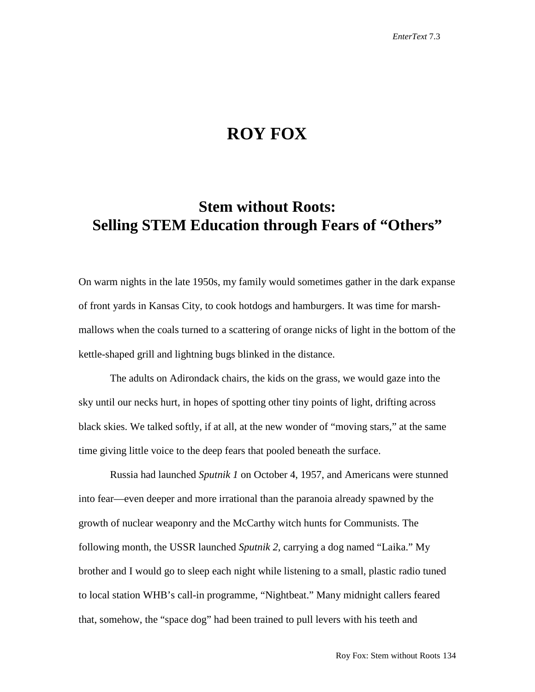## **ROY FOX**

## **Stem without Roots: Selling STEM Education through Fears of "Others"**

On warm nights in the late 1950s, my family would sometimes gather in the dark expanse of front yards in Kansas City, to cook hotdogs and hamburgers. It was time for marshmallows when the coals turned to a scattering of orange nicks of light in the bottom of the kettle-shaped grill and lightning bugs blinked in the distance.

The adults on Adirondack chairs, the kids on the grass, we would gaze into the sky until our necks hurt, in hopes of spotting other tiny points of light, drifting across black skies. We talked softly, if at all, at the new wonder of "moving stars," at the same time giving little voice to the deep fears that pooled beneath the surface.

Russia had launched *Sputnik 1* on October 4, 1957, and Americans were stunned into fear—even deeper and more irrational than the paranoia already spawned by the growth of nuclear weaponry and the McCarthy witch hunts for Communists. The following month, the USSR launched *Sputnik 2*, carrying a dog named "Laika." My brother and I would go to sleep each night while listening to a small, plastic radio tuned to local station WHB's call-in programme, "Nightbeat." Many midnight callers feared that, somehow, the "space dog" had been trained to pull levers with his teeth and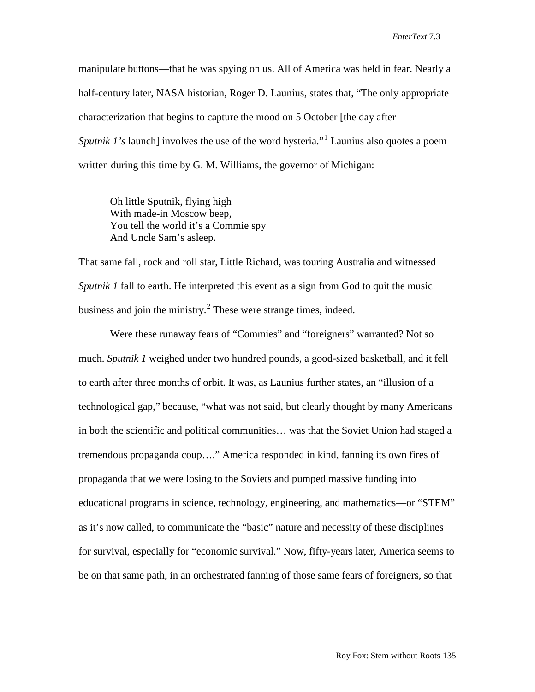manipulate buttons—that he was spying on us. All of America was held in fear. Nearly a half-century later, NASA historian, Roger D. Launius, states that, "The only appropriate characterization that begins to capture the mood on 5 October [the day after *Sputnik [1](#page-6-0)'s* launch] involves the use of the word hysteria."<sup>1</sup> Launius also quotes a poem written during this time by G. M. Williams, the governor of Michigan:

Oh little Sputnik, flying high With made-in Moscow beep, You tell the world it's a Commie spy And Uncle Sam's asleep.

That same fall, rock and roll star, Little Richard, was touring Australia and witnessed *Sputnik 1* fall to earth. He interpreted this event as a sign from God to quit the music business and join the ministry.<sup>[2](#page-6-1)</sup> These were strange times, indeed.

Were these runaway fears of "Commies" and "foreigners" warranted? Not so much. *Sputnik 1* weighed under two hundred pounds, a good-sized basketball, and it fell to earth after three months of orbit. It was, as Launius further states, an "illusion of a technological gap," because, "what was not said, but clearly thought by many Americans in both the scientific and political communities… was that the Soviet Union had staged a tremendous propaganda coup…." America responded in kind, fanning its own fires of propaganda that we were losing to the Soviets and pumped massive funding into educational programs in science, technology, engineering, and mathematics—or "STEM" as it's now called, to communicate the "basic" nature and necessity of these disciplines for survival, especially for "economic survival." Now, fifty-years later, America seems to be on that same path, in an orchestrated fanning of those same fears of foreigners, so that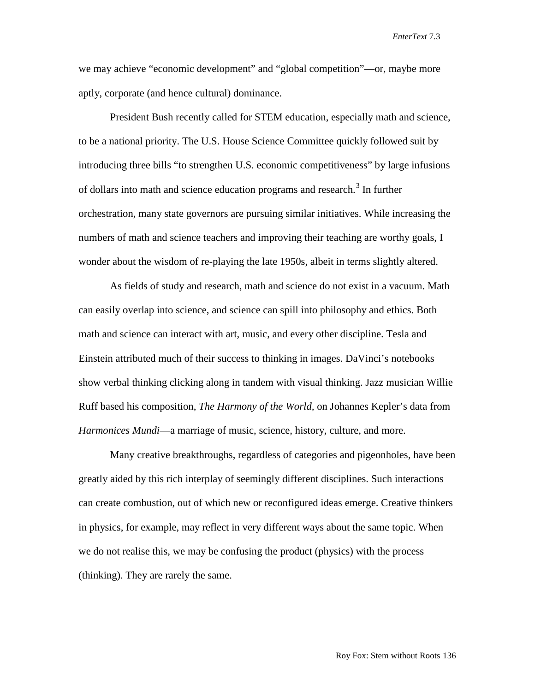we may achieve "economic development" and "global competition"—or, maybe more aptly, corporate (and hence cultural) dominance.

President Bush recently called for STEM education, especially math and science, to be a national priority. The U.S. House Science Committee quickly followed suit by introducing three bills "to strengthen U.S. economic competitiveness" by large infusions of dollars into math and science education programs and research. [3](#page-6-2) In further orchestration, many state governors are pursuing similar initiatives. While increasing the numbers of math and science teachers and improving their teaching are worthy goals, I wonder about the wisdom of re-playing the late 1950s, albeit in terms slightly altered.

As fields of study and research, math and science do not exist in a vacuum. Math can easily overlap into science, and science can spill into philosophy and ethics. Both math and science can interact with art, music, and every other discipline. Tesla and Einstein attributed much of their success to thinking in images. DaVinci's notebooks show verbal thinking clicking along in tandem with visual thinking. Jazz musician Willie Ruff based his composition, *The Harmony of the World,* on Johannes Kepler's data from *Harmonices Mundi*—a marriage of music, science, history, culture, and more.

Many creative breakthroughs, regardless of categories and pigeonholes, have been greatly aided by this rich interplay of seemingly different disciplines. Such interactions can create combustion, out of which new or reconfigured ideas emerge. Creative thinkers in physics, for example, may reflect in very different ways about the same topic. When we do not realise this, we may be confusing the product (physics) with the process (thinking). They are rarely the same.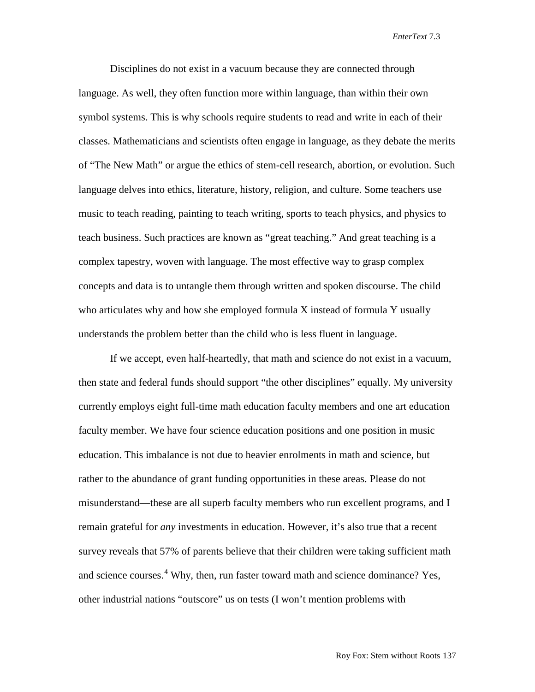Disciplines do not exist in a vacuum because they are connected through language. As well, they often function more within language, than within their own symbol systems. This is why schools require students to read and write in each of their classes. Mathematicians and scientists often engage in language, as they debate the merits of "The New Math" or argue the ethics of stem-cell research, abortion, or evolution. Such language delves into ethics, literature, history, religion, and culture. Some teachers use music to teach reading, painting to teach writing, sports to teach physics, and physics to teach business. Such practices are known as "great teaching." And great teaching is a complex tapestry, woven with language. The most effective way to grasp complex concepts and data is to untangle them through written and spoken discourse. The child who articulates why and how she employed formula X instead of formula Y usually understands the problem better than the child who is less fluent in language.

If we accept, even half-heartedly, that math and science do not exist in a vacuum, then state and federal funds should support "the other disciplines" equally. My university currently employs eight full-time math education faculty members and one art education faculty member. We have four science education positions and one position in music education. This imbalance is not due to heavier enrolments in math and science, but rather to the abundance of grant funding opportunities in these areas. Please do not misunderstand—these are all superb faculty members who run excellent programs, and I remain grateful for *any* investments in education. However, it's also true that a recent survey reveals that 57% of parents believe that their children were taking sufficient math and science courses. [4](#page-6-3) Why, then, run faster toward math and science dominance? Yes, other industrial nations "outscore" us on tests (I won't mention problems with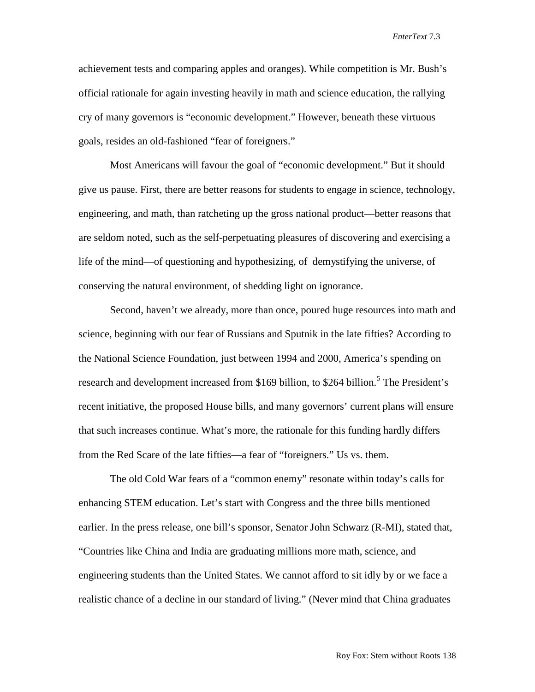achievement tests and comparing apples and oranges). While competition is Mr. Bush's official rationale for again investing heavily in math and science education, the rallying cry of many governors is "economic development." However, beneath these virtuous goals, resides an old-fashioned "fear of foreigners."

Most Americans will favour the goal of "economic development." But it should give us pause. First, there are better reasons for students to engage in science, technology, engineering, and math, than ratcheting up the gross national product—better reasons that are seldom noted, such as the self-perpetuating pleasures of discovering and exercising a life of the mind—of questioning and hypothesizing, of demystifying the universe, of conserving the natural environment, of shedding light on ignorance.

Second, haven't we already, more than once, poured huge resources into math and science, beginning with our fear of Russians and Sputnik in the late fifties? According to the National Science Foundation, just between 1994 and 2000, America's spending on research and development increased from \$169 billion, to \$264 billion.<sup>[5](#page-6-4)</sup> The President's recent initiative, the proposed House bills, and many governors' current plans will ensure that such increases continue. What's more, the rationale for this funding hardly differs from the Red Scare of the late fifties—a fear of "foreigners." Us vs. them.

The old Cold War fears of a "common enemy" resonate within today's calls for enhancing STEM education. Let's start with Congress and the three bills mentioned earlier. In the press release, one bill's sponsor, Senator John Schwarz (R-MI), stated that, "Countries like China and India are graduating millions more math, science, and engineering students than the United States. We cannot afford to sit idly by or we face a realistic chance of a decline in our standard of living." (Never mind that China graduates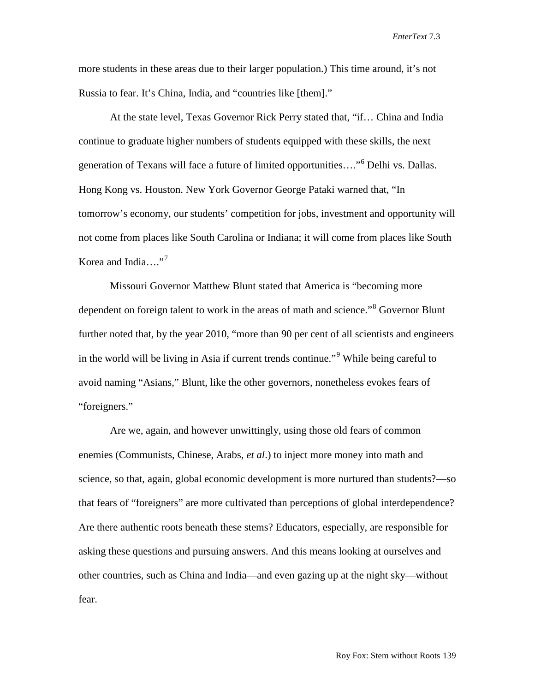more students in these areas due to their larger population.) This time around, it's not Russia to fear. It's China, India, and "countries like [them]."

At the state level, Texas Governor Rick Perry stated that, "if… China and India continue to graduate higher numbers of students equipped with these skills, the next generation of Texans will face a future of limited opportunities…."[6](#page-6-5) Delhi vs. Dallas. Hong Kong vs. Houston. New York Governor George Pataki warned that, "In tomorrow's economy, our students' competition for jobs, investment and opportunity will not come from places like South Carolina or Indiana; it will come from places like South Korea and India.... $"$ <sup>[7](#page-6-6)</sup>

Missouri Governor Matthew Blunt stated that America is "becoming more dependent on foreign talent to work in the areas of math and science."<sup>[8](#page-6-7)</sup> Governor Blunt further noted that, by the year 2010, "more than 90 per cent of all scientists and engineers in the world will be living in Asia if current trends continue."<sup>[9](#page-6-8)</sup> While being careful to avoid naming "Asians," Blunt, like the other governors, nonetheless evokes fears of "foreigners."

Are we, again, and however unwittingly, using those old fears of common enemies (Communists, Chinese, Arabs, *et al*.) to inject more money into math and science, so that, again, global economic development is more nurtured than students?—so that fears of "foreigners" are more cultivated than perceptions of global interdependence? Are there authentic roots beneath these stems? Educators, especially, are responsible for asking these questions and pursuing answers. And this means looking at ourselves and other countries, such as China and India—and even gazing up at the night sky—without fear.